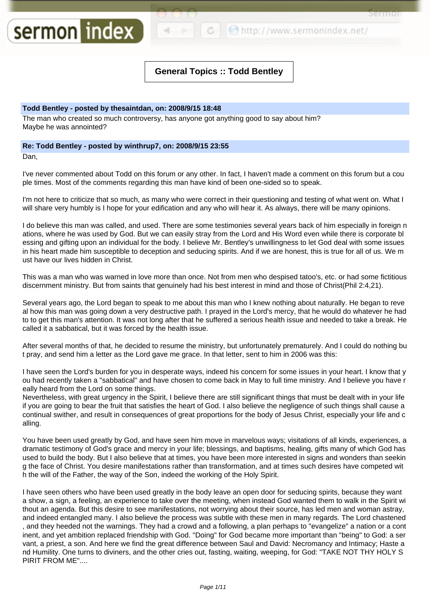http://www.sermonindex.net/

ermor

# **General Topics :: Todd Bentley**

# **Todd Bentley - posted by thesaintdan, on: 2008/9/15 18:48**

sermon index

The man who created so much controversy, has anyone got anything good to say about him? Maybe he was annointed?

# **Re: Todd Bentley - posted by winthrup7, on: 2008/9/15 23:55**

Dan,

I've never commented about Todd on this forum or any other. In fact, I haven't made a comment on this forum but a cou ple times. Most of the comments regarding this man have kind of been one-sided so to speak.

I'm not here to criticize that so much, as many who were correct in their questioning and testing of what went on. What I will share very humbly is I hope for your edification and any who will hear it. As always, there will be many opinions.

I do believe this man was called, and used. There are some testimonies several years back of him especially in foreign n ations, where he was used by God. But we can easily stray from the Lord and His Word even while there is corporate bl essing and gifting upon an individual for the body. I believe Mr. Bentley's unwillingness to let God deal with some issues in his heart made him susceptible to deception and seducing spirits. And if we are honest, this is true for all of us. We m ust have our lives hidden in Christ.

This was a man who was warned in love more than once. Not from men who despised tatoo's, etc. or had some fictitious discernment ministry. But from saints that genuinely had his best interest in mind and those of Christ(Phil 2:4,21).

Several years ago, the Lord began to speak to me about this man who I knew nothing about naturally. He began to reve al how this man was going down a very destructive path. I prayed in the Lord's mercy, that he would do whatever he had to to get this man's attention. It was not long after that he suffered a serious health issue and needed to take a break. He called it a sabbatical, but it was forced by the health issue.

After several months of that, he decided to resume the ministry, but unfortunately prematurely. And I could do nothing bu t pray, and send him a letter as the Lord gave me grace. In that letter, sent to him in 2006 was this:

I have seen the Lord's burden for you in desperate ways, indeed his concern for some issues in your heart. I know that y ou had recently taken a "sabbatical" and have chosen to come back in May to full time ministry. And I believe you have r eally heard from the Lord on some things.

Nevertheless, with great urgency in the Spirit, I believe there are still significant things that must be dealt with in your life if you are going to bear the fruit that satisfies the heart of God. I also believe the negligence of such things shall cause a continual swither, and result in consequences of great proportions for the body of Jesus Christ, especially your life and c alling.

You have been used greatly by God, and have seen him move in marvelous ways; visitations of all kinds, experiences, a dramatic testimony of God's grace and mercy in your life; blessings, and baptisms, healing, gifts many of which God has used to build the body. But I also believe that at times, you have been more interested in signs and wonders than seekin g the face of Christ. You desire manifestations rather than transformation, and at times such desires have competed wit h the will of the Father, the way of the Son, indeed the working of the Holy Spirit.

I have seen others who have been used greatly in the body leave an open door for seducing spirits, because they want a show, a sign, a feeling, an experience to take over the meeting, when instead God wanted them to walk in the Spirit wi thout an agenda. But this desire to see manifestations, not worrying about their source, has led men and woman astray, and indeed entangled many. I also believe the process was subtle with these men in many regards. The Lord chastened , and they heeded not the warnings. They had a crowd and a following, a plan perhaps to "evangelize" a nation or a cont inent, and yet ambition replaced friendship with God. "Doing" for God became more important than "being" to God: a ser vant, a priest, a son. And here we find the great difference between Saul and David: Necromancy and Intimacy; Haste a nd Humility. One turns to diviners, and the other cries out, fasting, waiting, weeping, for God: "TAKE NOT THY HOLY S PIRIT FROM ME"....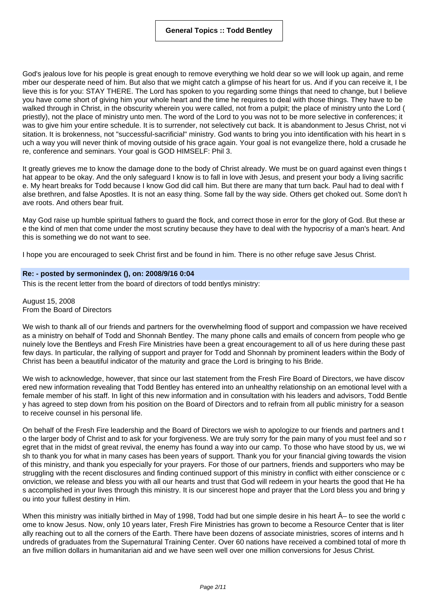God's jealous love for his people is great enough to remove everything we hold dear so we will look up again, and reme mber our desperate need of him. But also that we might catch a glimpse of his heart for us. And if you can receive it, I be lieve this is for you: STAY THERE. The Lord has spoken to you regarding some things that need to change, but I believe you have come short of giving him your whole heart and the time he requires to deal with those things. They have to be walked through in Christ, in the obscurity wherein you were called, not from a pulpit; the place of ministry unto the Lord ( priestly), not the place of ministry unto men. The word of the Lord to you was not to be more selective in conferences; it was to give him your entire schedule. It is to surrender, not selectively cut back. It is abandonment to Jesus Christ, not vi sitation. It is brokenness, not "successful-sacrificial" ministry. God wants to bring you into identification with his heart in s uch a way you will never think of moving outside of his grace again. Your goal is not evangelize there, hold a crusade he re, conference and seminars. Your goal is GOD HIMSELF: Phil 3.

It greatly grieves me to know the damage done to the body of Christ already. We must be on guard against even things t hat appear to be okay. And the only safeguard I know is to fall in love with Jesus, and present your body a living sacrific e. My heart breaks for Todd because I know God did call him. But there are many that turn back. Paul had to deal with f alse brethren, and false Apostles. It is not an easy thing. Some fall by the way side. Others get choked out. Some don't h ave roots. And others bear fruit.

May God raise up humble spiritual fathers to guard the flock, and correct those in error for the glory of God. But these ar e the kind of men that come under the most scrutiny because they have to deal with the hypocrisy of a man's heart. And this is something we do not want to see.

I hope you are encouraged to seek Christ first and be found in him. There is no other refuge save Jesus Christ.

# **Re: - posted by sermonindex (), on: 2008/9/16 0:04**

This is the recent letter from the board of directors of todd bentlys ministry:

August 15, 2008 From the Board of Directors

We wish to thank all of our friends and partners for the overwhelming flood of support and compassion we have received as a ministry on behalf of Todd and Shonnah Bentley. The many phone calls and emails of concern from people who ge nuinely love the Bentleys and Fresh Fire Ministries have been a great encouragement to all of us here during these past few days. In particular, the rallying of support and prayer for Todd and Shonnah by prominent leaders within the Body of Christ has been a beautiful indicator of the maturity and grace the Lord is bringing to his Bride.

We wish to acknowledge, however, that since our last statement from the Fresh Fire Board of Directors, we have discov ered new information revealing that Todd Bentley has entered into an unhealthy relationship on an emotional level with a female member of his staff. In light of this new information and in consultation with his leaders and advisors, Todd Bentle y has agreed to step down from his position on the Board of Directors and to refrain from all public ministry for a season to receive counsel in his personal life.

On behalf of the Fresh Fire leadership and the Board of Directors we wish to apologize to our friends and partners and t o the larger body of Christ and to ask for your forgiveness. We are truly sorry for the pain many of you must feel and so r egret that in the midst of great revival, the enemy has found a way into our camp. To those who have stood by us, we wi sh to thank you for what in many cases has been years of support. Thank you for your financial giving towards the vision of this ministry, and thank you especially for your prayers. For those of our partners, friends and supporters who may be struggling with the recent disclosures and finding continued support of this ministry in conflict with either conscience or c onviction, we release and bless you with all our hearts and trust that God will redeem in your hearts the good that He ha s accomplished in your lives through this ministry. It is our sincerest hope and prayer that the Lord bless you and bring y ou into your fullest destiny in Him.

When this ministry was initially birthed in May of 1998, Todd had but one simple desire in his heart  $\hat{A}$  to see the world c ome to know Jesus. Now, only 10 years later, Fresh Fire Ministries has grown to become a Resource Center that is liter ally reaching out to all the corners of the Earth. There have been dozens of associate ministries, scores of interns and h undreds of graduates from the Supernatural Training Center. Over 60 nations have received a combined total of more th an five million dollars in humanitarian aid and we have seen well over one million conversions for Jesus Christ.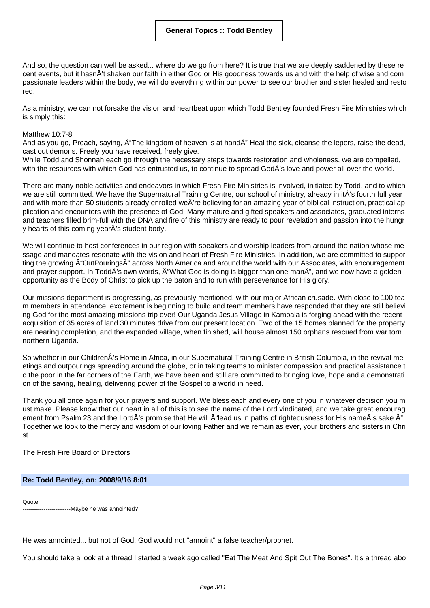And so, the question can well be asked... where do we go from here? It is true that we are deeply saddened by these re cent events, but it hasnÂ't shaken our faith in either God or His goodness towards us and with the help of wise and com passionate leaders within the body, we will do everything within our power to see our brother and sister healed and resto red.

As a ministry, we can not forsake the vision and heartbeat upon which Todd Bentley founded Fresh Fire Ministries which is simply this:

# Matthew 10:7-8

And as you go, Preach, saying,  $\hat{A}$ "The kingdom of heaven is at hand $\hat{A}$ " Heal the sick, cleanse the lepers, raise the dead, cast out demons. Freely you have received, freely give.

While Todd and Shonnah each go through the necessary steps towards restoration and wholeness, we are compelled, with the resources with which God has entrusted us, to continue to spread GodÂ's love and power all over the world.

There are many noble activities and endeavors in which Fresh Fire Ministries is involved, initiated by Todd, and to which we are still committed. We have the Supernatural Training Centre, our school of ministry, already in itÂ's fourth full year and with more than 50 students already enrolled weÂ're believing for an amazing year of biblical instruction, practical ap plication and encounters with the presence of God. Many mature and gifted speakers and associates, graduated interns and teachers filled brim-full with the DNA and fire of this ministry are ready to pour revelation and passion into the hungr y hearts of this coming yearÂ's student body.

We will continue to host conferences in our region with speakers and worship leaders from around the nation whose me ssage and mandates resonate with the vision and heart of Fresh Fire Ministries. In addition, we are committed to suppor ting the growing  $\hat{A}$ "OutPourings $\hat{A}$ " across North America and around the world with our Associates, with encouragement and prayer support. In ToddÂ's own words, "What God is doing is bigger than one man", and we now have a golden opportunity as the Body of Christ to pick up the baton and to run with perseverance for His glory.

Our missions department is progressing, as previously mentioned, with our major African crusade. With close to 100 tea m members in attendance, excitement is beginning to build and team members have responded that they are still believi ng God for the most amazing missions trip ever! Our Uganda Jesus Village in Kampala is forging ahead with the recent acquisition of 35 acres of land 30 minutes drive from our present location. Two of the 15 homes planned for the property are nearing completion, and the expanded village, when finished, will house almost 150 orphans rescued from war torn northern Uganda.

So whether in our ChildrenÂ's Home in Africa, in our Supernatural Training Centre in British Columbia, in the revival me etings and outpourings spreading around the globe, or in taking teams to minister compassion and practical assistance t o the poor in the far corners of the Earth, we have been and still are committed to bringing love, hope and a demonstrati on of the saving, healing, delivering power of the Gospel to a world in need.

Thank you all once again for your prayers and support. We bless each and every one of you in whatever decision you m ust make. Please know that our heart in all of this is to see the name of the Lord vindicated, and we take great encourag ement from Psalm 23 and the LordÂ's promise that He will  $\hat{A}^*$ lead us in paths of righteousness for His nameÂ's sake. $\hat{A}^*$ Together we look to the mercy and wisdom of our loving Father and we remain as ever, your brothers and sisters in Chri st.

The Fresh Fire Board of Directors

### **Re: Todd Bentley, on: 2008/9/16 8:01**

Quote: -------------------------Maybe he was annointed? -------------------------

He was annointed... but not of God. God would not "annoint" a false teacher/prophet.

You should take a look at a thread I started a week ago called "Eat The Meat And Spit Out The Bones". It's a thread abo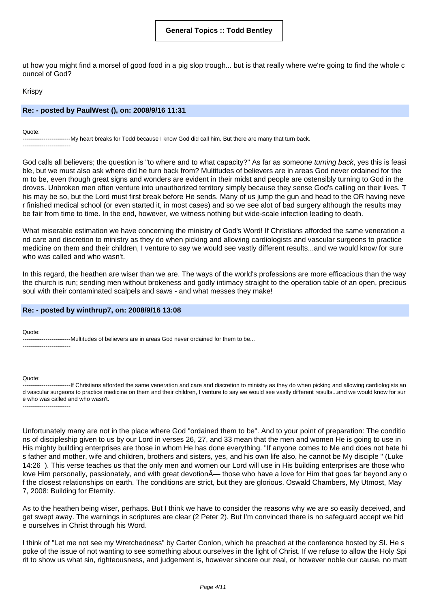ut how you might find a morsel of good food in a pig slop trough... but is that really where we're going to find the whole c ouncel of God?

Krispy

# **Re: - posted by PaulWest (), on: 2008/9/16 11:31**

Quote:

-------------------------My heart breaks for Todd because I know God did call him. But there are many that turn back. -------------------------

God calls all believers; the question is "to where and to what capacity?" As far as someone turning back, yes this is feasi ble, but we must also ask where did he turn back from? Multitudes of believers are in areas God never ordained for the m to be, even though great signs and wonders are evident in their midst and people are ostensibly turning to God in the droves. Unbroken men often venture into unauthorized territory simply because they sense God's calling on their lives. T his may be so, but the Lord must first break before He sends. Many of us jump the gun and head to the OR having neve r finished medical school (or even started it, in most cases) and so we see alot of bad surgery although the results may be fair from time to time. In the end, however, we witness nothing but wide-scale infection leading to death.

What miserable estimation we have concerning the ministry of God's Word! If Christians afforded the same veneration a nd care and discretion to ministry as they do when picking and allowing cardiologists and vascular surgeons to practice medicine on them and their children, I venture to say we would see vastly different results...and we would know for sure who was called and who wasn't.

In this regard, the heathen are wiser than we are. The ways of the world's professions are more efficacious than the way the church is run; sending men without brokeness and godly intimacy straight to the operation table of an open, precious soul with their contaminated scalpels and saws - and what messes they make!

### **Re: - posted by winthrup7, on: 2008/9/16 13:08**

Quote:

-------------------------Multitudes of believers are in areas God never ordained for them to be... -------------------------

#### Quote:

-------------------------If Christians afforded the same veneration and care and discretion to ministry as they do when picking and allowing cardiologists an d vascular surgeons to practice medicine on them and their children, I venture to say we would see vastly different results...and we would know for sur e who was called and who wasn't. -------------------------

Unfortunately many are not in the place where God "ordained them to be". And to your point of preparation: The conditio ns of discipleship given to us by our Lord in verses 26, 27, and 33 mean that the men and women He is going to use in His mighty building enterprises are those in whom He has done everything. "If anyone comes to Me and does not hate hi s father and mother, wife and children, brothers and sisters, yes, and his own life also, he cannot be My disciple " (Luke 14:26 ). This verse teaches us that the only men and women our Lord will use in His building enterprises are those who love Him personally, passionately, and with great devotion $\tilde{A}$ — those who have a love for Him that goes far beyond any o f the closest relationships on earth. The conditions are strict, but they are glorious. Oswald Chambers, My Utmost, May 7, 2008: Building for Eternity.

As to the heathen being wiser, perhaps. But I think we have to consider the reasons why we are so easily deceived, and get swept away. The warnings in scriptures are clear (2 Peter 2). But I'm convinced there is no safeguard accept we hid e ourselves in Christ through his Word.

I think of "Let me not see my Wretchedness" by Carter Conlon, which he preached at the conference hosted by SI. He s poke of the issue of not wanting to see something about ourselves in the light of Christ. If we refuse to allow the Holy Spi rit to show us what sin, righteousness, and judgement is, however sincere our zeal, or however noble our cause, no matt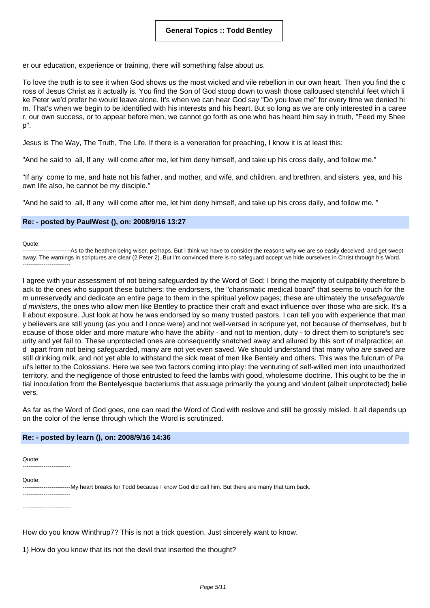er our education, experience or training, there will something false about us.

To love the truth is to see it when God shows us the most wicked and vile rebellion in our own heart. Then you find the c ross of Jesus Christ as it actually is. You find the Son of God stoop down to wash those calloused stenchful feet which li ke Peter we'd prefer he would leave alone. It's when we can hear God say "Do you love me" for every time we denied hi m. That's when we begin to be identified with his interests and his heart. But so long as we are only interested in a caree r, our own success, or to appear before men, we cannot go forth as one who has heard him say in truth, "Feed my Shee p".

Jesus is The Way, The Truth, The Life. If there is a veneration for preaching, I know it is at least this:

"And he said to all, If any will come after me, let him deny himself, and take up his cross daily, and follow me."

"If any come to me, and hate not his father, and mother, and wife, and children, and brethren, and sisters, yea, and his own life also, he cannot be my disciple."

"And he said to all, If any will come after me, let him deny himself, and take up his cross daily, and follow me. "

### **Re: - posted by PaulWest (), on: 2008/9/16 13:27**

#### Quote:

-------------------------As to the heathen being wiser, perhaps. But I think we have to consider the reasons why we are so easily deceived, and get swept away. The warnings in scriptures are clear (2 Peter 2). But I'm convinced there is no safeguard accept we hide ourselves in Christ through his Word. -------------------------

I agree with your assessment of not being safeguarded by the Word of God; I bring the majority of culpability therefore b ack to the ones who support these butchers: the endorsers, the "charismatic medical board" that seems to vouch for the m unreservedly and dedicate an entire page to them in the spiritual yellow pages; these are ultimately the *unsafequarde* d ministers, the ones who allow men like Bentley to practice their craft and exact influence over those who are sick. It's a ll about exposure. Just look at how he was endorsed by so many trusted pastors. I can tell you with experience that man y believers are still young (as you and I once were) and not well-versed in scripure yet, not because of themselves, but b ecause of those older and more mature who have the ability - and not to mention, duty - to direct them to scripture's sec urity and yet fail to. These unprotected ones are consequently snatched away and allured by this sort of malpractice; an d apart from not being safeguarded, many are not yet even saved. We should understand that many who are saved are still drinking milk, and not yet able to withstand the sick meat of men like Bentely and others. This was the fulcrum of Pa ul's letter to the Colossians. Here we see two factors coming into play: the venturing of self-willed men into unauthorized territory, and the negligence of those entrusted to feed the lambs with good, wholesome doctrine. This ought to be the in tial inoculation from the Bentelyesque bacteriums that assuage primarily the young and virulent (albeit unprotected) belie vers.

As far as the Word of God goes, one can read the Word of God with reslove and still be grossly misled. It all depends up on the color of the lense through which the Word is scrutinized.

### **Re: - posted by learn (), on: 2008/9/16 14:36**

Quote: -------------------------

Quote:

-------------------------My heart breaks for Todd because I know God did call him. But there are many that turn back.

------------------------- -------------------------

How do you know Winthrup7? This is not a trick question. Just sincerely want to know.

1) How do you know that its not the devil that inserted the thought?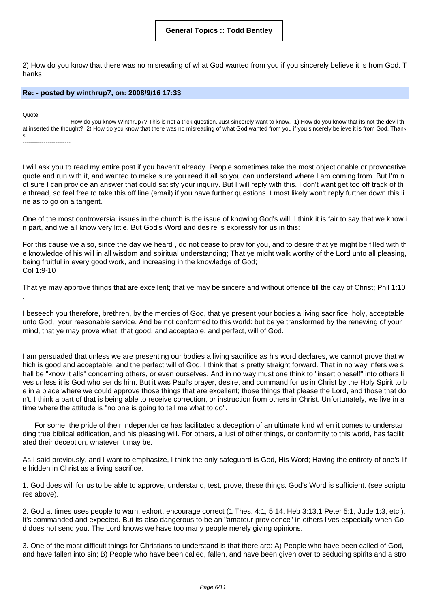2) How do you know that there was no misreading of what God wanted from you if you sincerely believe it is from God. T hanks

### **Re: - posted by winthrup7, on: 2008/9/16 17:33**

Quote:

-----------------------------How do you know Winthrup7? This is not a trick question. Just sincerely want to know. 1) How do you know that its not the devil th at inserted the thought? 2) How do you know that there was no misreading of what God wanted from you if you sincerely believe it is from God. Thank s -------------------------

I will ask you to read my entire post if you haven't already. People sometimes take the most objectionable or provocative quote and run with it, and wanted to make sure you read it all so you can understand where I am coming from. But I'm n ot sure I can provide an answer that could satisfy your inquiry. But I will reply with this. I don't want get too off track of th e thread, so feel free to take this off line (email) if you have further questions. I most likely won't reply further down this li ne as to go on a tangent.

One of the most controversial issues in the church is the issue of knowing God's will. I think it is fair to say that we know i n part, and we all know very little. But God's Word and desire is expressly for us in this:

For this cause we also, since the day we heard , do not cease to pray for you, and to desire that ye might be filled with th e knowledge of his will in all wisdom and spiritual understanding; That ye might walk worthy of the Lord unto all pleasing, being fruitful in every good work, and increasing in the knowledge of God; Col 1:9-10

That ye may approve things that are excellent; that ye may be sincere and without offence till the day of Christ; Phil 1:10 .

I beseech you therefore, brethren, by the mercies of God, that ye present your bodies a living sacrifice, holy, acceptable unto God, your reasonable service. And be not conformed to this world: but be ye transformed by the renewing of your mind, that ye may prove what that good, and acceptable, and perfect, will of God.

I am persuaded that unless we are presenting our bodies a living sacrifice as his word declares, we cannot prove that w hich is good and acceptable, and the perfect will of God. I think that is pretty straight forward. That in no way infers we s hall be "know it alls" concerning others, or even ourselves. And in no way must one think to "insert oneself" into others li ves unless it is God who sends him. But it was Paul's prayer, desire, and command for us in Christ by the Holy Spirit to b e in a place where we could approve those things that are excellent; those things that please the Lord, and those that do n't. I think a part of that is being able to receive correction, or instruction from others in Christ. Unfortunately, we live in a time where the attitude is "no one is going to tell me what to do".

For some, the pride of their independence has facilitated a deception of an ultimate kind when it comes to understan ding true biblical edification, and his pleasing will. For others, a lust of other things, or conformity to this world, has facilit ated their deception, whatever it may be.

As I said previously, and I want to emphasize, I think the only safeguard is God, His Word; Having the entirety of one's lif e hidden in Christ as a living sacrifice.

1. God does will for us to be able to approve, understand, test, prove, these things. God's Word is sufficient. (see scriptu res above).

2. God at times uses people to warn, exhort, encourage correct (1 Thes. 4:1, 5:14, Heb 3:13,1 Peter 5:1, Jude 1:3, etc.). It's commanded and expected. But its also dangerous to be an "amateur providence" in others lives especially when Go d does not send you. The Lord knows we have too many people merely giving opinions.

3. One of the most difficult things for Christians to understand is that there are: A) People who have been called of God, and have fallen into sin; B) People who have been called, fallen, and have been given over to seducing spirits and a stro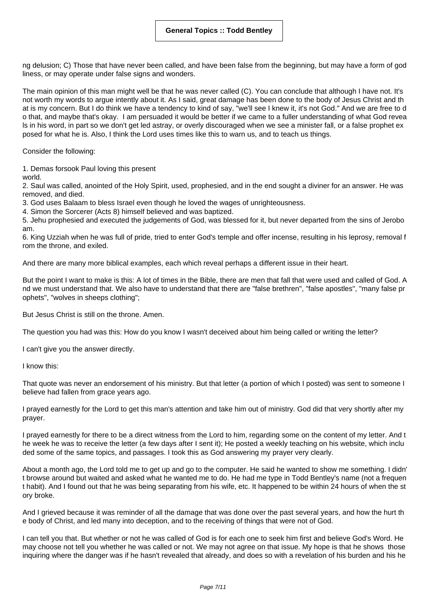ng delusion; C) Those that have never been called, and have been false from the beginning, but may have a form of god liness, or may operate under false signs and wonders.

The main opinion of this man might well be that he was never called (C). You can conclude that although I have not. It's not worth my words to argue intently about it. As I said, great damage has been done to the body of Jesus Christ and th at is my concern. But I do think we have a tendency to kind of say, "we'll see I knew it, it's not God." And we are free to d o that, and maybe that's okay. I am persuaded it would be better if we came to a fuller understanding of what God revea ls in his word, in part so we don't get led astray, or overly discouraged when we see a minister fall, or a false prophet ex posed for what he is. Also, I think the Lord uses times like this to warn us, and to teach us things.

Consider the following:

1. Demas forsook Paul loving this present

world.

2. Saul was called, anointed of the Holy Spirit, used, prophesied, and in the end sought a diviner for an answer. He was removed, and died.

3. God uses Balaam to bless Israel even though he loved the wages of unrighteousness.

4. Simon the Sorcerer (Acts 8) himself believed and was baptized.

5. Jehu prophesied and executed the judgements of God, was blessed for it, but never departed from the sins of Jerobo am.

6. King Uzziah when he was full of pride, tried to enter God's temple and offer incense, resulting in his leprosy, removal f rom the throne, and exiled.

And there are many more biblical examples, each which reveal perhaps a different issue in their heart.

But the point I want to make is this: A lot of times in the Bible, there are men that fall that were used and called of God. A nd we must understand that. We also have to understand that there are "false brethren", "false apostles", "many false pr ophets", "wolves in sheeps clothing";

But Jesus Christ is still on the throne. Amen.

The question you had was this: How do you know I wasn't deceived about him being called or writing the letter?

I can't give you the answer directly.

I know this:

That quote was never an endorsement of his ministry. But that letter (a portion of which I posted) was sent to someone I believe had fallen from grace years ago.

I prayed earnestly for the Lord to get this man's attention and take him out of ministry. God did that very shortly after my prayer.

I prayed earnestly for there to be a direct witness from the Lord to him, regarding some on the content of my letter. And t he week he was to receive the letter (a few days after I sent it); He posted a weekly teaching on his website, which inclu ded some of the same topics, and passages. I took this as God answering my prayer very clearly.

About a month ago, the Lord told me to get up and go to the computer. He said he wanted to show me something. I didn' t browse around but waited and asked what he wanted me to do. He had me type in Todd Bentley's name (not a frequen t habit). And I found out that he was being separating from his wife, etc. It happened to be within 24 hours of when the st ory broke.

And I grieved because it was reminder of all the damage that was done over the past several years, and how the hurt th e body of Christ, and led many into deception, and to the receiving of things that were not of God.

I can tell you that. But whether or not he was called of God is for each one to seek him first and believe God's Word. He may choose not tell you whether he was called or not. We may not agree on that issue. My hope is that he shows those inquiring where the danger was if he hasn't revealed that already, and does so with a revelation of his burden and his he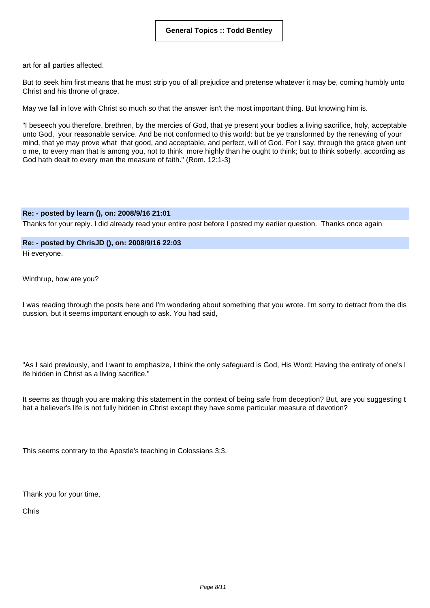art for all parties affected.

But to seek him first means that he must strip you of all prejudice and pretense whatever it may be, coming humbly unto Christ and his throne of grace.

May we fall in love with Christ so much so that the answer isn't the most important thing. But knowing him is.

"I beseech you therefore, brethren, by the mercies of God, that ye present your bodies a living sacrifice, holy, acceptable unto God, your reasonable service. And be not conformed to this world: but be ye transformed by the renewing of your mind, that ye may prove what that good, and acceptable, and perfect, will of God. For I say, through the grace given unt o me, to every man that is among you, not to think more highly than he ought to think; but to think soberly, according as God hath dealt to every man the measure of faith." (Rom. 12:1-3)

### **Re: - posted by learn (), on: 2008/9/16 21:01**

Thanks for your reply. I did already read your entire post before I posted my earlier question. Thanks once again

# **Re: - posted by ChrisJD (), on: 2008/9/16 22:03**

Hi everyone.

Winthrup, how are you?

I was reading through the posts here and I'm wondering about something that you wrote. I'm sorry to detract from the dis cussion, but it seems important enough to ask. You had said,

"As I said previously, and I want to emphasize, I think the only safeguard is God, His Word; Having the entirety of one's l ife hidden in Christ as a living sacrifice."

It seems as though you are making this statement in the context of being safe from deception? But, are you suggesting t hat a believer's life is not fully hidden in Christ except they have some particular measure of devotion?

This seems contrary to the Apostle's teaching in Colossians 3:3.

Thank you for your time,

Chris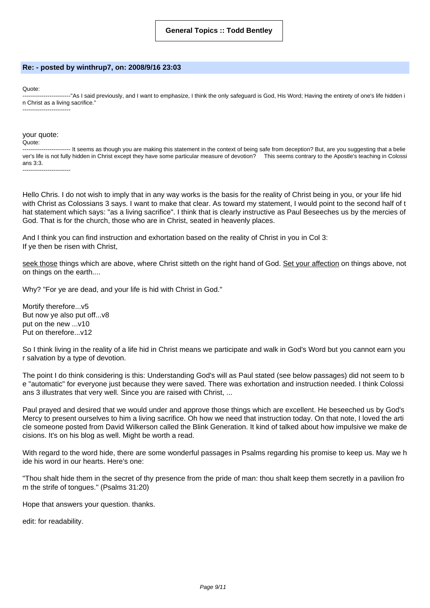### **Re: - posted by winthrup7, on: 2008/9/16 23:03**

Quote:

-------------------------"As I said previously, and I want to emphasize, I think the only safeguard is God, His Word; Having the entirety of one's life hidden i n Christ as a living sacrifice." -------------------------

#### your quote:

Quote:

---- It seems as though you are making this statement in the context of being safe from deception? But, are you suggesting that a belie ver's life is not fully hidden in Christ except they have some particular measure of devotion? This seems contrary to the Apostle's teaching in Colossi ans 3:3. -------------------------

Hello Chris. I do not wish to imply that in any way works is the basis for the reality of Christ being in you, or your life hid with Christ as Colossians 3 says. I want to make that clear. As toward my statement, I would point to the second half of t hat statement which says: "as a living sacrifice". I think that is clearly instructive as Paul Beseeches us by the mercies of God. That is for the church, those who are in Christ, seated in heavenly places.

And I think you can find instruction and exhortation based on the reality of Christ in you in Col 3: If ye then be risen with Christ,

seek those things which are above, where Christ sitteth on the right hand of God. Set your affection on things above, not on things on the earth....

Why? "For ye are dead, and your life is hid with Christ in God."

Mortify therefore...v5 But now ye also put off...v8 put on the new ...v10 Put on therefore...v12

So I think living in the reality of a life hid in Christ means we participate and walk in God's Word but you cannot earn you r salvation by a type of devotion.

The point I do think considering is this: Understanding God's will as Paul stated (see below passages) did not seem to b e "automatic" for everyone just because they were saved. There was exhortation and instruction needed. I think Colossi ans 3 illustrates that very well. Since you are raised with Christ, ...

Paul prayed and desired that we would under and approve those things which are excellent. He beseeched us by God's Mercy to present ourselves to him a living sacrifice. Oh how we need that instruction today. On that note, I loved the arti cle someone posted from David Wilkerson called the Blink Generation. It kind of talked about how impulsive we make de cisions. It's on his blog as well. Might be worth a read.

With regard to the word hide, there are some wonderful passages in Psalms regarding his promise to keep us. May we h ide his word in our hearts. Here's one:

"Thou shalt hide them in the secret of thy presence from the pride of man: thou shalt keep them secretly in a pavilion fro m the strife of tongues." (Psalms 31:20)

Hope that answers your question. thanks.

edit: for readability.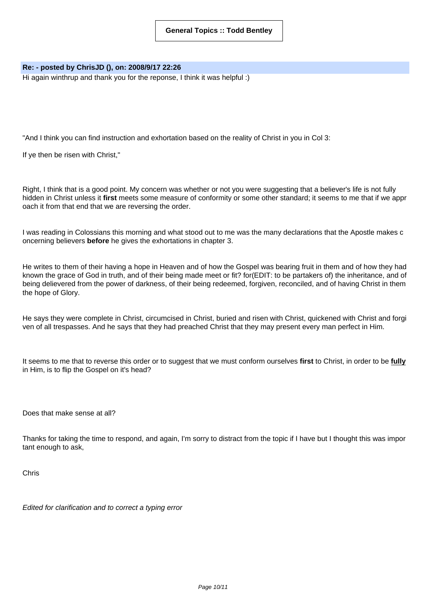# **Re: - posted by ChrisJD (), on: 2008/9/17 22:26**

Hi again winthrup and thank you for the reponse, I think it was helpful :)

"And I think you can find instruction and exhortation based on the reality of Christ in you in Col 3:

If ye then be risen with Christ,"

Right, I think that is a good point. My concern was whether or not you were suggesting that a believer's life is not fully hidden in Christ unless it **first** meets some measure of conformity or some other standard; it seems to me that if we appr oach it from that end that we are reversing the order.

I was reading in Colossians this morning and what stood out to me was the many declarations that the Apostle makes c oncerning believers **before** he gives the exhortations in chapter 3.

He writes to them of their having a hope in Heaven and of how the Gospel was bearing fruit in them and of how they had known the grace of God in truth, and of their being made meet or fit? for(EDIT: to be partakers of) the inheritance, and of being delievered from the power of darkness, of their being redeemed, forgiven, reconciled, and of having Christ in them the hope of Glory.

He says they were complete in Christ, circumcised in Christ, buried and risen with Christ, quickened with Christ and forgi ven of all trespasses. And he says that they had preached Christ that they may present every man perfect in Him.

It seems to me that to reverse this order or to suggest that we must conform ourselves **first** to Christ, in order to be **fully** in Him, is to flip the Gospel on it's head?

Does that make sense at all?

Thanks for taking the time to respond, and again, I'm sorry to distract from the topic if I have but I thought this was impor tant enough to ask,

Chris

Edited for clarification and to correct a typing error